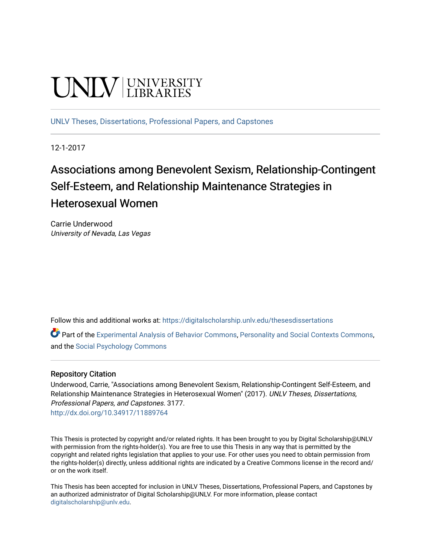# UNIV UNIVERSITY

[UNLV Theses, Dissertations, Professional Papers, and Capstones](https://digitalscholarship.unlv.edu/thesesdissertations)

12-1-2017

# Associations among Benevolent Sexism, Relationship-Contingent Self-Esteem, and Relationship Maintenance Strategies in Heterosexual Women

Carrie Underwood University of Nevada, Las Vegas

Follow this and additional works at: [https://digitalscholarship.unlv.edu/thesesdissertations](https://digitalscholarship.unlv.edu/thesesdissertations?utm_source=digitalscholarship.unlv.edu%2Fthesesdissertations%2F3177&utm_medium=PDF&utm_campaign=PDFCoverPages)

Part of the [Experimental Analysis of Behavior Commons,](http://network.bepress.com/hgg/discipline/1236?utm_source=digitalscholarship.unlv.edu%2Fthesesdissertations%2F3177&utm_medium=PDF&utm_campaign=PDFCoverPages) [Personality and Social Contexts Commons](http://network.bepress.com/hgg/discipline/413?utm_source=digitalscholarship.unlv.edu%2Fthesesdissertations%2F3177&utm_medium=PDF&utm_campaign=PDFCoverPages), and the [Social Psychology Commons](http://network.bepress.com/hgg/discipline/414?utm_source=digitalscholarship.unlv.edu%2Fthesesdissertations%2F3177&utm_medium=PDF&utm_campaign=PDFCoverPages) 

# Repository Citation

Underwood, Carrie, "Associations among Benevolent Sexism, Relationship-Contingent Self-Esteem, and Relationship Maintenance Strategies in Heterosexual Women" (2017). UNLV Theses, Dissertations, Professional Papers, and Capstones. 3177. <http://dx.doi.org/10.34917/11889764>

This Thesis is protected by copyright and/or related rights. It has been brought to you by Digital Scholarship@UNLV with permission from the rights-holder(s). You are free to use this Thesis in any way that is permitted by the copyright and related rights legislation that applies to your use. For other uses you need to obtain permission from the rights-holder(s) directly, unless additional rights are indicated by a Creative Commons license in the record and/ or on the work itself.

This Thesis has been accepted for inclusion in UNLV Theses, Dissertations, Professional Papers, and Capstones by an authorized administrator of Digital Scholarship@UNLV. For more information, please contact [digitalscholarship@unlv.edu](mailto:digitalscholarship@unlv.edu).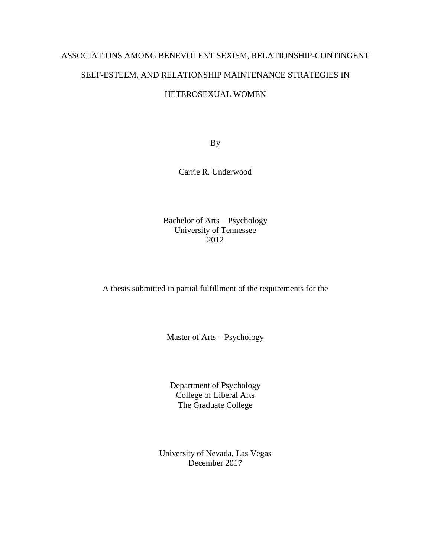# ASSOCIATIONS AMONG BENEVOLENT SEXISM, RELATIONSHIP-CONTINGENT SELF-ESTEEM, AND RELATIONSHIP MAINTENANCE STRATEGIES IN

# HETEROSEXUAL WOMEN

By

Carrie R. Underwood

Bachelor of Arts – Psychology University of Tennessee 2012

A thesis submitted in partial fulfillment of the requirements for the

Master of Arts – Psychology

Department of Psychology College of Liberal Arts The Graduate College

University of Nevada, Las Vegas December 2017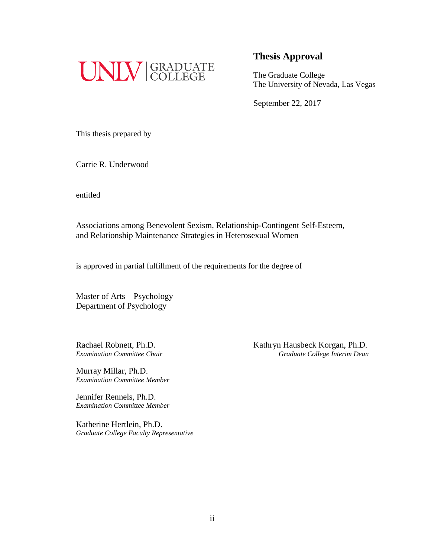

# **Thesis Approval**

The Graduate College The University of Nevada, Las Vegas

September 22, 2017

This thesis prepared by

Carrie R. Underwood

entitled

Associations among Benevolent Sexism, Relationship-Contingent Self-Esteem, and Relationship Maintenance Strategies in Heterosexual Women

is approved in partial fulfillment of the requirements for the degree of

Master of Arts – Psychology Department of Psychology

Murray Millar, Ph.D. *Examination Committee Member* 

Jennifer Rennels, Ph.D. *Examination Committee Member* 

Katherine Hertlein, Ph.D. *Graduate College Faculty Representative* 

Rachael Robnett, Ph.D. Kathryn Hausbeck Korgan, Ph.D. **Examination Committee Chair** Graduate College Interim Dean **Graduate College Interim Dean**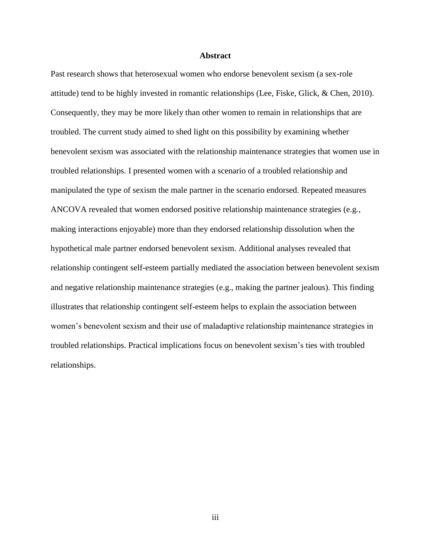#### **Abstract**

Past research shows that heterosexual women who endorse benevolent sexism (a sex-role attitude) tend to be highly invested in romantic relationships (Lee, Fiske, Glick, & Chen, 2010). Consequently, they may be more likely than other women to remain in relationships that are troubled. The current study aimed to shed light on this possibility by examining whether benevolent sexism was associated with the relationship maintenance strategies that women use in troubled relationships. I presented women with a scenario of a troubled relationship and manipulated the type of sexism the male partner in the scenario endorsed. Repeated measures ANCOVA revealed that women endorsed positive relationship maintenance strategies (e.g., making interactions enjoyable) more than they endorsed relationship dissolution when the hypothetical male partner endorsed benevolent sexism. Additional analyses revealed that relationship contingent self-esteem partially mediated the association between benevolent sexism and negative relationship maintenance strategies (e.g., making the partner jealous). This finding illustrates that relationship contingent self-esteem helps to explain the association between women's benevolent sexism and their use of maladaptive relationship maintenance strategies in troubled relationships. Practical implications focus on benevolent sexism's ties with troubled relationships.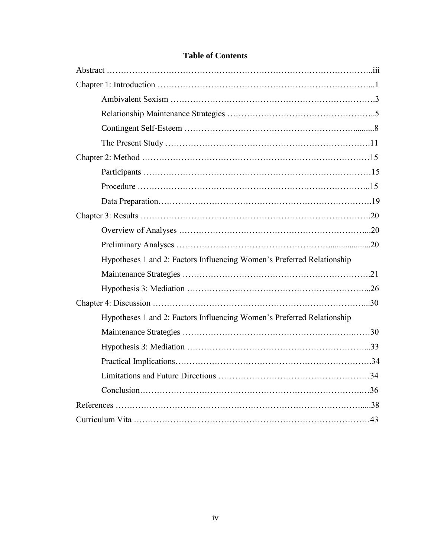| Hypotheses 1 and 2: Factors Influencing Women's Preferred Relationship |
|------------------------------------------------------------------------|
|                                                                        |
|                                                                        |
|                                                                        |
| Hypotheses 1 and 2: Factors Influencing Women's Preferred Relationship |
|                                                                        |
|                                                                        |
|                                                                        |
|                                                                        |
|                                                                        |
|                                                                        |
|                                                                        |

# **Table of Contents**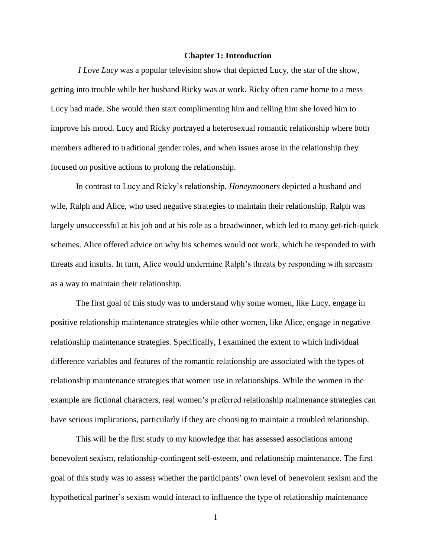#### **Chapter 1: Introduction**

*I Love Lucy* was a popular television show that depicted Lucy, the star of the show, getting into trouble while her husband Ricky was at work. Ricky often came home to a mess Lucy had made. She would then start complimenting him and telling him she loved him to improve his mood. Lucy and Ricky portrayed a heterosexual romantic relationship where both members adhered to traditional gender roles, and when issues arose in the relationship they focused on positive actions to prolong the relationship.

In contrast to Lucy and Ricky's relationship, *Honeymooners* depicted a husband and wife, Ralph and Alice, who used negative strategies to maintain their relationship. Ralph was largely unsuccessful at his job and at his role as a breadwinner, which led to many get-rich-quick schemes. Alice offered advice on why his schemes would not work, which he responded to with threats and insults. In turn, Alice would undermine Ralph's threats by responding with sarcasm as a way to maintain their relationship.

The first goal of this study was to understand why some women, like Lucy, engage in positive relationship maintenance strategies while other women, like Alice, engage in negative relationship maintenance strategies. Specifically, I examined the extent to which individual difference variables and features of the romantic relationship are associated with the types of relationship maintenance strategies that women use in relationships. While the women in the example are fictional characters, real women's preferred relationship maintenance strategies can have serious implications, particularly if they are choosing to maintain a troubled relationship.

This will be the first study to my knowledge that has assessed associations among benevolent sexism, relationship-contingent self-esteem, and relationship maintenance. The first goal of this study was to assess whether the participants' own level of benevolent sexism and the hypothetical partner's sexism would interact to influence the type of relationship maintenance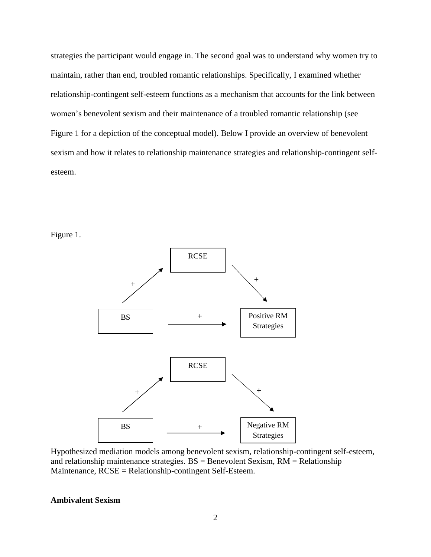strategies the participant would engage in. The second goal was to understand why women try to maintain, rather than end, troubled romantic relationships. Specifically, I examined whether relationship-contingent self-esteem functions as a mechanism that accounts for the link between women's benevolent sexism and their maintenance of a troubled romantic relationship (see Figure 1 for a depiction of the conceptual model). Below I provide an overview of benevolent sexism and how it relates to relationship maintenance strategies and relationship-contingent selfesteem.





Hypothesized mediation models among benevolent sexism, relationship-contingent self-esteem, and relationship maintenance strategies.  $BS =$  Benevolent Sexism,  $RM =$  Relationship Maintenance, RCSE = Relationship-contingent Self-Esteem.

## **Ambivalent Sexism**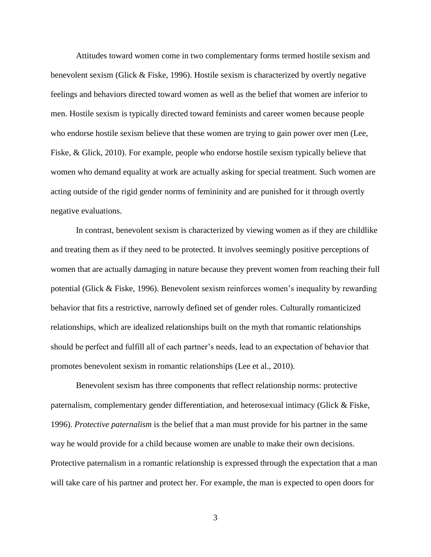Attitudes toward women come in two complementary forms termed hostile sexism and benevolent sexism (Glick & Fiske, 1996). Hostile sexism is characterized by overtly negative feelings and behaviors directed toward women as well as the belief that women are inferior to men. Hostile sexism is typically directed toward feminists and career women because people who endorse hostile sexism believe that these women are trying to gain power over men (Lee, Fiske, & Glick, 2010). For example, people who endorse hostile sexism typically believe that women who demand equality at work are actually asking for special treatment. Such women are acting outside of the rigid gender norms of femininity and are punished for it through overtly negative evaluations.

In contrast, benevolent sexism is characterized by viewing women as if they are childlike and treating them as if they need to be protected. It involves seemingly positive perceptions of women that are actually damaging in nature because they prevent women from reaching their full potential (Glick & Fiske, 1996). Benevolent sexism reinforces women's inequality by rewarding behavior that fits a restrictive, narrowly defined set of gender roles. Culturally romanticized relationships, which are idealized relationships built on the myth that romantic relationships should be perfect and fulfill all of each partner's needs, lead to an expectation of behavior that promotes benevolent sexism in romantic relationships (Lee et al., 2010).

Benevolent sexism has three components that reflect relationship norms: protective paternalism, complementary gender differentiation, and heterosexual intimacy (Glick & Fiske, 1996). *Protective paternalism* is the belief that a man must provide for his partner in the same way he would provide for a child because women are unable to make their own decisions. Protective paternalism in a romantic relationship is expressed through the expectation that a man will take care of his partner and protect her. For example, the man is expected to open doors for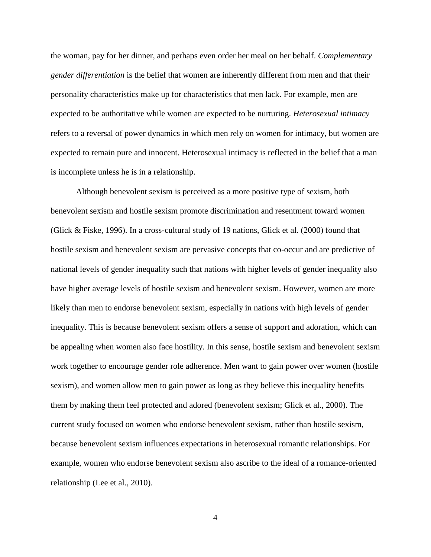the woman, pay for her dinner, and perhaps even order her meal on her behalf. *Complementary gender differentiation* is the belief that women are inherently different from men and that their personality characteristics make up for characteristics that men lack. For example, men are expected to be authoritative while women are expected to be nurturing. *Heterosexual intimacy* refers to a reversal of power dynamics in which men rely on women for intimacy, but women are expected to remain pure and innocent. Heterosexual intimacy is reflected in the belief that a man is incomplete unless he is in a relationship.

Although benevolent sexism is perceived as a more positive type of sexism, both benevolent sexism and hostile sexism promote discrimination and resentment toward women (Glick & Fiske, 1996). In a cross-cultural study of 19 nations, Glick et al. (2000) found that hostile sexism and benevolent sexism are pervasive concepts that co-occur and are predictive of national levels of gender inequality such that nations with higher levels of gender inequality also have higher average levels of hostile sexism and benevolent sexism. However, women are more likely than men to endorse benevolent sexism, especially in nations with high levels of gender inequality. This is because benevolent sexism offers a sense of support and adoration, which can be appealing when women also face hostility. In this sense, hostile sexism and benevolent sexism work together to encourage gender role adherence. Men want to gain power over women (hostile sexism), and women allow men to gain power as long as they believe this inequality benefits them by making them feel protected and adored (benevolent sexism; Glick et al., 2000). The current study focused on women who endorse benevolent sexism, rather than hostile sexism, because benevolent sexism influences expectations in heterosexual romantic relationships. For example, women who endorse benevolent sexism also ascribe to the ideal of a romance-oriented relationship (Lee et al., 2010).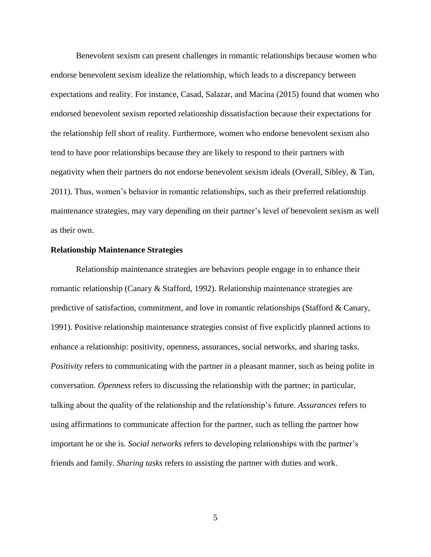Benevolent sexism can present challenges in romantic relationships because women who endorse benevolent sexism idealize the relationship, which leads to a discrepancy between expectations and reality. For instance, Casad, Salazar, and Macina (2015) found that women who endorsed benevolent sexism reported relationship dissatisfaction because their expectations for the relationship fell short of reality. Furthermore, women who endorse benevolent sexism also tend to have poor relationships because they are likely to respond to their partners with negativity when their partners do not endorse benevolent sexism ideals (Overall, Sibley, & Tan, 2011). Thus, women's behavior in romantic relationships, such as their preferred relationship maintenance strategies, may vary depending on their partner's level of benevolent sexism as well as their own.

#### **Relationship Maintenance Strategies**

Relationship maintenance strategies are behaviors people engage in to enhance their romantic relationship (Canary & Stafford, 1992). Relationship maintenance strategies are predictive of satisfaction, commitment, and love in romantic relationships (Stafford & Canary, 1991). Positive relationship maintenance strategies consist of five explicitly planned actions to enhance a relationship: positivity, openness, assurances, social networks, and sharing tasks. *Positivity* refers to communicating with the partner in a pleasant manner, such as being polite in conversation. *Openness* refers to discussing the relationship with the partner; in particular, talking about the quality of the relationship and the relationship's future. *Assurances* refers to using affirmations to communicate affection for the partner, such as telling the partner how important he or she is. *Social networks* refers to developing relationships with the partner's friends and family. *Sharing tasks* refers to assisting the partner with duties and work.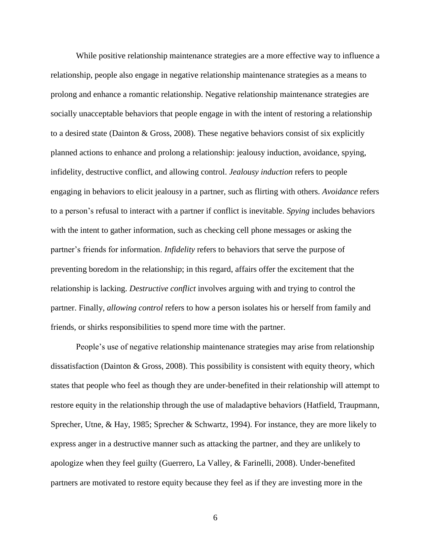While positive relationship maintenance strategies are a more effective way to influence a relationship, people also engage in negative relationship maintenance strategies as a means to prolong and enhance a romantic relationship. Negative relationship maintenance strategies are socially unacceptable behaviors that people engage in with the intent of restoring a relationship to a desired state (Dainton & Gross, 2008). These negative behaviors consist of six explicitly planned actions to enhance and prolong a relationship: jealousy induction, avoidance, spying, infidelity, destructive conflict, and allowing control. *Jealousy induction* refers to people engaging in behaviors to elicit jealousy in a partner, such as flirting with others. *Avoidance* refers to a person's refusal to interact with a partner if conflict is inevitable. *Spying* includes behaviors with the intent to gather information, such as checking cell phone messages or asking the partner's friends for information. *Infidelity* refers to behaviors that serve the purpose of preventing boredom in the relationship; in this regard, affairs offer the excitement that the relationship is lacking. *Destructive conflict* involves arguing with and trying to control the partner. Finally, *allowing control* refers to how a person isolates his or herself from family and friends, or shirks responsibilities to spend more time with the partner.

People's use of negative relationship maintenance strategies may arise from relationship dissatisfaction (Dainton & Gross, 2008). This possibility is consistent with equity theory, which states that people who feel as though they are under-benefited in their relationship will attempt to restore equity in the relationship through the use of maladaptive behaviors (Hatfield, Traupmann, Sprecher, Utne, & Hay, 1985; Sprecher & Schwartz, 1994). For instance, they are more likely to express anger in a destructive manner such as attacking the partner, and they are unlikely to apologize when they feel guilty (Guerrero, La Valley, & Farinelli, 2008). Under-benefited partners are motivated to restore equity because they feel as if they are investing more in the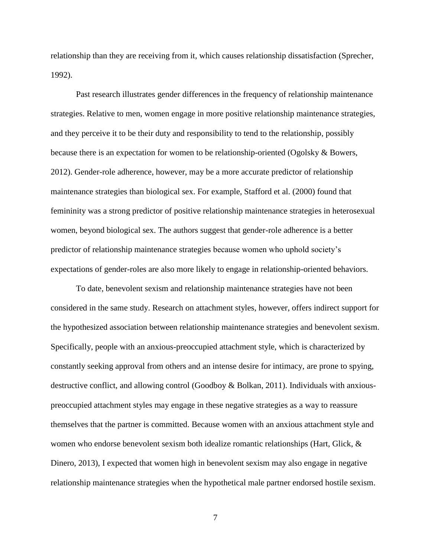relationship than they are receiving from it, which causes relationship dissatisfaction (Sprecher, 1992).

Past research illustrates gender differences in the frequency of relationship maintenance strategies. Relative to men, women engage in more positive relationship maintenance strategies, and they perceive it to be their duty and responsibility to tend to the relationship, possibly because there is an expectation for women to be relationship-oriented (Ogolsky & Bowers, 2012). Gender-role adherence, however, may be a more accurate predictor of relationship maintenance strategies than biological sex. For example, Stafford et al. (2000) found that femininity was a strong predictor of positive relationship maintenance strategies in heterosexual women, beyond biological sex. The authors suggest that gender-role adherence is a better predictor of relationship maintenance strategies because women who uphold society's expectations of gender-roles are also more likely to engage in relationship-oriented behaviors.

To date, benevolent sexism and relationship maintenance strategies have not been considered in the same study. Research on attachment styles, however, offers indirect support for the hypothesized association between relationship maintenance strategies and benevolent sexism. Specifically, people with an anxious-preoccupied attachment style, which is characterized by constantly seeking approval from others and an intense desire for intimacy, are prone to spying, destructive conflict, and allowing control (Goodboy & Bolkan, 2011). Individuals with anxiouspreoccupied attachment styles may engage in these negative strategies as a way to reassure themselves that the partner is committed. Because women with an anxious attachment style and women who endorse benevolent sexism both idealize romantic relationships (Hart, Glick, & Dinero, 2013), I expected that women high in benevolent sexism may also engage in negative relationship maintenance strategies when the hypothetical male partner endorsed hostile sexism.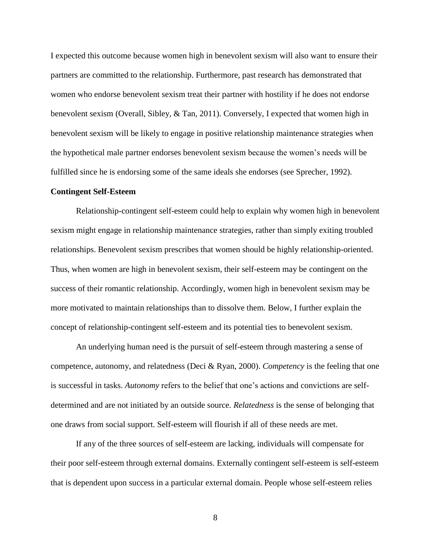I expected this outcome because women high in benevolent sexism will also want to ensure their partners are committed to the relationship. Furthermore, past research has demonstrated that women who endorse benevolent sexism treat their partner with hostility if he does not endorse benevolent sexism (Overall, Sibley, & Tan, 2011). Conversely, I expected that women high in benevolent sexism will be likely to engage in positive relationship maintenance strategies when the hypothetical male partner endorses benevolent sexism because the women's needs will be fulfilled since he is endorsing some of the same ideals she endorses (see Sprecher, 1992).

#### **Contingent Self-Esteem**

Relationship-contingent self-esteem could help to explain why women high in benevolent sexism might engage in relationship maintenance strategies, rather than simply exiting troubled relationships. Benevolent sexism prescribes that women should be highly relationship-oriented. Thus, when women are high in benevolent sexism, their self-esteem may be contingent on the success of their romantic relationship. Accordingly, women high in benevolent sexism may be more motivated to maintain relationships than to dissolve them. Below, I further explain the concept of relationship-contingent self-esteem and its potential ties to benevolent sexism.

An underlying human need is the pursuit of self-esteem through mastering a sense of competence, autonomy, and relatedness (Deci & Ryan, 2000). *Competency* is the feeling that one is successful in tasks. *Autonomy* refers to the belief that one's actions and convictions are selfdetermined and are not initiated by an outside source. *Relatedness* is the sense of belonging that one draws from social support. Self-esteem will flourish if all of these needs are met.

If any of the three sources of self-esteem are lacking, individuals will compensate for their poor self-esteem through external domains. Externally contingent self-esteem is self-esteem that is dependent upon success in a particular external domain. People whose self-esteem relies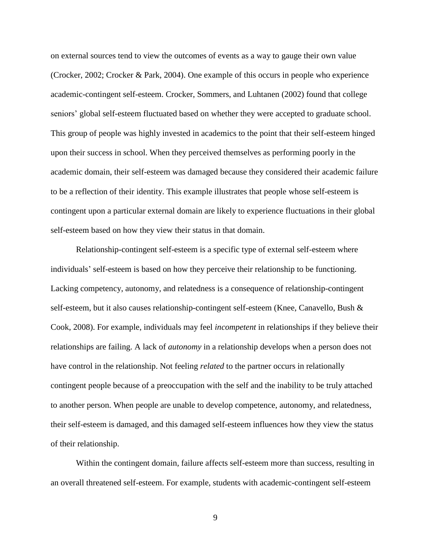on external sources tend to view the outcomes of events as a way to gauge their own value (Crocker, 2002; Crocker & Park, 2004). One example of this occurs in people who experience academic-contingent self-esteem. Crocker, Sommers, and Luhtanen (2002) found that college seniors' global self-esteem fluctuated based on whether they were accepted to graduate school. This group of people was highly invested in academics to the point that their self-esteem hinged upon their success in school. When they perceived themselves as performing poorly in the academic domain, their self-esteem was damaged because they considered their academic failure to be a reflection of their identity. This example illustrates that people whose self-esteem is contingent upon a particular external domain are likely to experience fluctuations in their global self-esteem based on how they view their status in that domain.

Relationship-contingent self-esteem is a specific type of external self-esteem where individuals' self-esteem is based on how they perceive their relationship to be functioning. Lacking competency, autonomy, and relatedness is a consequence of relationship-contingent self-esteem, but it also causes relationship-contingent self-esteem (Knee, Canavello, Bush & Cook, 2008). For example, individuals may feel *incompetent* in relationships if they believe their relationships are failing. A lack of *autonomy* in a relationship develops when a person does not have control in the relationship. Not feeling *related* to the partner occurs in relationally contingent people because of a preoccupation with the self and the inability to be truly attached to another person. When people are unable to develop competence, autonomy, and relatedness, their self-esteem is damaged, and this damaged self-esteem influences how they view the status of their relationship.

Within the contingent domain, failure affects self-esteem more than success, resulting in an overall threatened self-esteem. For example, students with academic-contingent self-esteem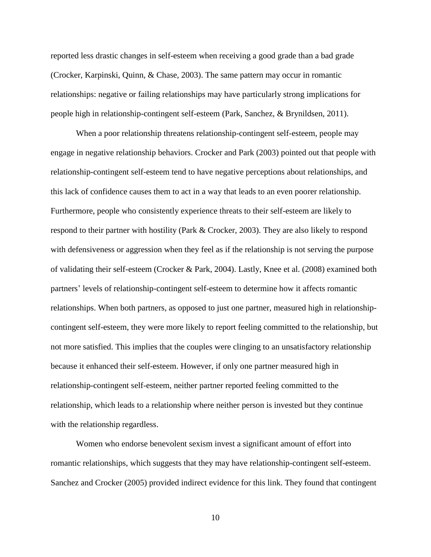reported less drastic changes in self-esteem when receiving a good grade than a bad grade (Crocker, Karpinski, Quinn, & Chase, 2003). The same pattern may occur in romantic relationships: negative or failing relationships may have particularly strong implications for people high in relationship-contingent self-esteem (Park, Sanchez, & Brynildsen, 2011).

When a poor relationship threatens relationship-contingent self-esteem, people may engage in negative relationship behaviors. Crocker and Park (2003) pointed out that people with relationship-contingent self-esteem tend to have negative perceptions about relationships, and this lack of confidence causes them to act in a way that leads to an even poorer relationship. Furthermore, people who consistently experience threats to their self-esteem are likely to respond to their partner with hostility (Park & Crocker, 2003). They are also likely to respond with defensiveness or aggression when they feel as if the relationship is not serving the purpose of validating their self-esteem (Crocker & Park, 2004). Lastly, Knee et al. (2008) examined both partners' levels of relationship-contingent self-esteem to determine how it affects romantic relationships. When both partners, as opposed to just one partner, measured high in relationshipcontingent self-esteem, they were more likely to report feeling committed to the relationship, but not more satisfied. This implies that the couples were clinging to an unsatisfactory relationship because it enhanced their self-esteem. However, if only one partner measured high in relationship-contingent self-esteem, neither partner reported feeling committed to the relationship, which leads to a relationship where neither person is invested but they continue with the relationship regardless.

Women who endorse benevolent sexism invest a significant amount of effort into romantic relationships, which suggests that they may have relationship-contingent self-esteem. Sanchez and Crocker (2005) provided indirect evidence for this link. They found that contingent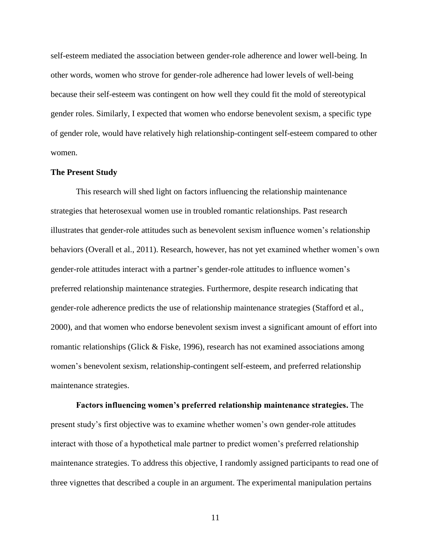self-esteem mediated the association between gender-role adherence and lower well-being. In other words, women who strove for gender-role adherence had lower levels of well-being because their self-esteem was contingent on how well they could fit the mold of stereotypical gender roles. Similarly, I expected that women who endorse benevolent sexism, a specific type of gender role, would have relatively high relationship-contingent self-esteem compared to other women.

#### **The Present Study**

This research will shed light on factors influencing the relationship maintenance strategies that heterosexual women use in troubled romantic relationships. Past research illustrates that gender-role attitudes such as benevolent sexism influence women's relationship behaviors (Overall et al., 2011). Research, however, has not yet examined whether women's own gender-role attitudes interact with a partner's gender-role attitudes to influence women's preferred relationship maintenance strategies. Furthermore, despite research indicating that gender-role adherence predicts the use of relationship maintenance strategies (Stafford et al., 2000), and that women who endorse benevolent sexism invest a significant amount of effort into romantic relationships (Glick & Fiske, 1996), research has not examined associations among women's benevolent sexism, relationship-contingent self-esteem, and preferred relationship maintenance strategies.

**Factors influencing women's preferred relationship maintenance strategies.** The present study's first objective was to examine whether women's own gender-role attitudes interact with those of a hypothetical male partner to predict women's preferred relationship maintenance strategies. To address this objective, I randomly assigned participants to read one of three vignettes that described a couple in an argument. The experimental manipulation pertains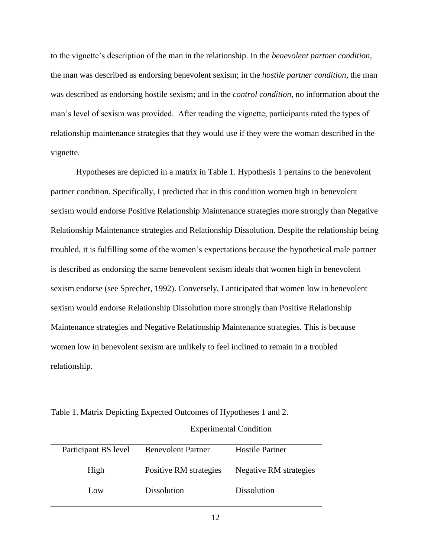to the vignette's description of the man in the relationship. In the *benevolent partner condition*, the man was described as endorsing benevolent sexism; in the *hostile partner condition*, the man was described as endorsing hostile sexism; and in the *control condition*, no information about the man's level of sexism was provided. After reading the vignette, participants rated the types of relationship maintenance strategies that they would use if they were the woman described in the vignette.

Hypotheses are depicted in a matrix in Table 1. Hypothesis 1 pertains to the benevolent partner condition. Specifically, I predicted that in this condition women high in benevolent sexism would endorse Positive Relationship Maintenance strategies more strongly than Negative Relationship Maintenance strategies and Relationship Dissolution. Despite the relationship being troubled, it is fulfilling some of the women's expectations because the hypothetical male partner is described as endorsing the same benevolent sexism ideals that women high in benevolent sexism endorse (see Sprecher, 1992). Conversely, I anticipated that women low in benevolent sexism would endorse Relationship Dissolution more strongly than Positive Relationship Maintenance strategies and Negative Relationship Maintenance strategies. This is because women low in benevolent sexism are unlikely to feel inclined to remain in a troubled relationship.

|                      |                           | Experimental Continuon |
|----------------------|---------------------------|------------------------|
| Participant BS level | <b>Benevolent Partner</b> | Hostile Partner        |
| High                 | Positive RM strategies    | Negative RM strategies |
| Low                  | Dissolution               | Dissolution            |

Table 1. Matrix Depicting Expected Outcomes of Hypotheses 1 and 2.

Experimental Condition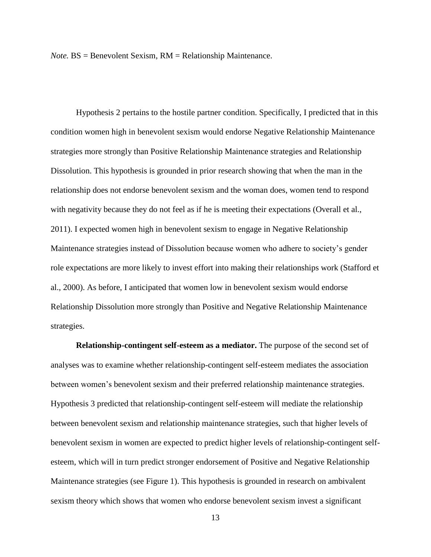*Note.* BS = Benevolent Sexism, RM = Relationship Maintenance.

Hypothesis 2 pertains to the hostile partner condition. Specifically, I predicted that in this condition women high in benevolent sexism would endorse Negative Relationship Maintenance strategies more strongly than Positive Relationship Maintenance strategies and Relationship Dissolution. This hypothesis is grounded in prior research showing that when the man in the relationship does not endorse benevolent sexism and the woman does, women tend to respond with negativity because they do not feel as if he is meeting their expectations (Overall et al., 2011). I expected women high in benevolent sexism to engage in Negative Relationship Maintenance strategies instead of Dissolution because women who adhere to society's gender role expectations are more likely to invest effort into making their relationships work (Stafford et al., 2000). As before, I anticipated that women low in benevolent sexism would endorse Relationship Dissolution more strongly than Positive and Negative Relationship Maintenance strategies.

**Relationship-contingent self-esteem as a mediator.** The purpose of the second set of analyses was to examine whether relationship-contingent self-esteem mediates the association between women's benevolent sexism and their preferred relationship maintenance strategies. Hypothesis 3 predicted that relationship-contingent self-esteem will mediate the relationship between benevolent sexism and relationship maintenance strategies, such that higher levels of benevolent sexism in women are expected to predict higher levels of relationship-contingent selfesteem, which will in turn predict stronger endorsement of Positive and Negative Relationship Maintenance strategies (see Figure 1). This hypothesis is grounded in research on ambivalent sexism theory which shows that women who endorse benevolent sexism invest a significant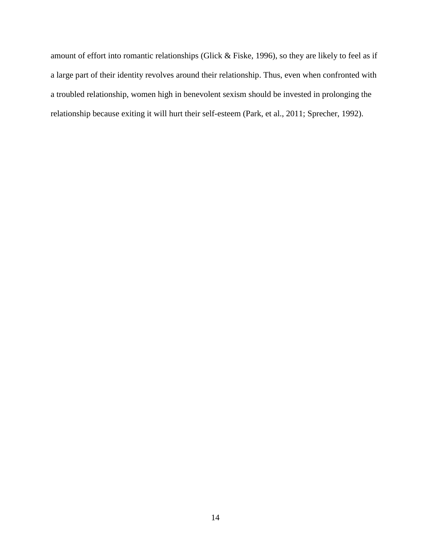amount of effort into romantic relationships (Glick & Fiske, 1996), so they are likely to feel as if a large part of their identity revolves around their relationship. Thus, even when confronted with a troubled relationship, women high in benevolent sexism should be invested in prolonging the relationship because exiting it will hurt their self-esteem (Park, et al., 2011; Sprecher, 1992).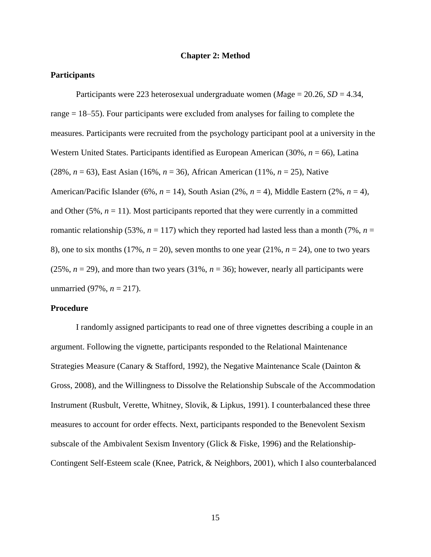#### **Chapter 2: Method**

#### **Participants**

Participants were 223 heterosexual undergraduate women (*M*age = 20.26, *SD* = 4.34, range = 18–55). Four participants were excluded from analyses for failing to complete the measures. Participants were recruited from the psychology participant pool at a university in the Western United States. Participants identified as European American (30%, *n* = 66), Latina (28%, *n* = 63), East Asian (16%, *n* = 36), African American (11%, *n* = 25), Native American/Pacific Islander (6%, *n* = 14), South Asian (2%, *n* = 4), Middle Eastern (2%, *n* = 4), and Other  $(5\%, n = 11)$ . Most participants reported that they were currently in a committed romantic relationship (53%,  $n = 117$ ) which they reported had lasted less than a month (7%,  $n =$ 8), one to six months (17%,  $n = 20$ ), seven months to one year (21%,  $n = 24$ ), one to two years (25%,  $n = 29$ ), and more than two years (31%,  $n = 36$ ); however, nearly all participants were unmarried (97%, *n* = 217).

#### **Procedure**

I randomly assigned participants to read one of three vignettes describing a couple in an argument. Following the vignette, participants responded to the Relational Maintenance Strategies Measure (Canary & Stafford, 1992), the Negative Maintenance Scale (Dainton & Gross, 2008), and the Willingness to Dissolve the Relationship Subscale of the Accommodation Instrument (Rusbult, Verette, Whitney, Slovik, & Lipkus, 1991). I counterbalanced these three measures to account for order effects. Next, participants responded to the Benevolent Sexism subscale of the Ambivalent Sexism Inventory (Glick & Fiske, 1996) and the Relationship-Contingent Self-Esteem scale (Knee, Patrick, & Neighbors, 2001), which I also counterbalanced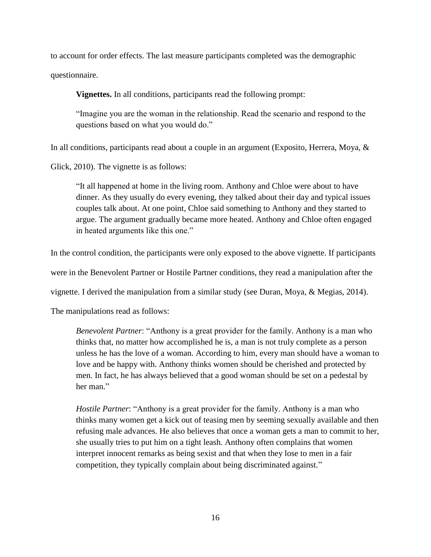to account for order effects. The last measure participants completed was the demographic questionnaire.

**Vignettes.** In all conditions, participants read the following prompt:

"Imagine you are the woman in the relationship. Read the scenario and respond to the questions based on what you would do."

In all conditions, participants read about a couple in an argument (Exposito, Herrera, Moya, &

Glick, 2010). The vignette is as follows:

"It all happened at home in the living room. Anthony and Chloe were about to have dinner. As they usually do every evening, they talked about their day and typical issues couples talk about. At one point, Chloe said something to Anthony and they started to argue. The argument gradually became more heated. Anthony and Chloe often engaged in heated arguments like this one."

In the control condition, the participants were only exposed to the above vignette. If participants

were in the Benevolent Partner or Hostile Partner conditions, they read a manipulation after the

vignette. I derived the manipulation from a similar study (see Duran, Moya, & Megias, 2014).

The manipulations read as follows:

*Benevolent Partner*: "Anthony is a great provider for the family. Anthony is a man who thinks that, no matter how accomplished he is, a man is not truly complete as a person unless he has the love of a woman. According to him, every man should have a woman to love and be happy with. Anthony thinks women should be cherished and protected by men. In fact, he has always believed that a good woman should be set on a pedestal by her man."

*Hostile Partner*: "Anthony is a great provider for the family. Anthony is a man who thinks many women get a kick out of teasing men by seeming sexually available and then refusing male advances. He also believes that once a woman gets a man to commit to her, she usually tries to put him on a tight leash. Anthony often complains that women interpret innocent remarks as being sexist and that when they lose to men in a fair competition, they typically complain about being discriminated against."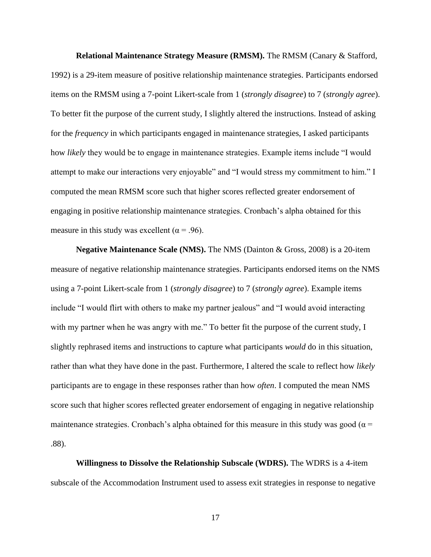**Relational Maintenance Strategy Measure (RMSM).** The RMSM (Canary & Stafford, 1992) is a 29-item measure of positive relationship maintenance strategies. Participants endorsed items on the RMSM using a 7-point Likert-scale from 1 (*strongly disagree*) to 7 (*strongly agree*). To better fit the purpose of the current study, I slightly altered the instructions. Instead of asking for the *frequency* in which participants engaged in maintenance strategies, I asked participants how *likely* they would be to engage in maintenance strategies. Example items include "I would attempt to make our interactions very enjoyable" and "I would stress my commitment to him." I computed the mean RMSM score such that higher scores reflected greater endorsement of engaging in positive relationship maintenance strategies. Cronbach's alpha obtained for this measure in this study was excellent ( $\alpha$  = .96).

**Negative Maintenance Scale (NMS).** The NMS (Dainton & Gross, 2008) is a 20-item measure of negative relationship maintenance strategies. Participants endorsed items on the NMS using a 7-point Likert-scale from 1 (*strongly disagree*) to 7 (*strongly agree*). Example items include "I would flirt with others to make my partner jealous" and "I would avoid interacting with my partner when he was angry with me." To better fit the purpose of the current study, I slightly rephrased items and instructions to capture what participants *would* do in this situation, rather than what they have done in the past. Furthermore, I altered the scale to reflect how *likely* participants are to engage in these responses rather than how *often*. I computed the mean NMS score such that higher scores reflected greater endorsement of engaging in negative relationship maintenance strategies. Cronbach's alpha obtained for this measure in this study was good ( $\alpha$  = .88).

**Willingness to Dissolve the Relationship Subscale (WDRS).** The WDRS is a 4-item subscale of the Accommodation Instrument used to assess exit strategies in response to negative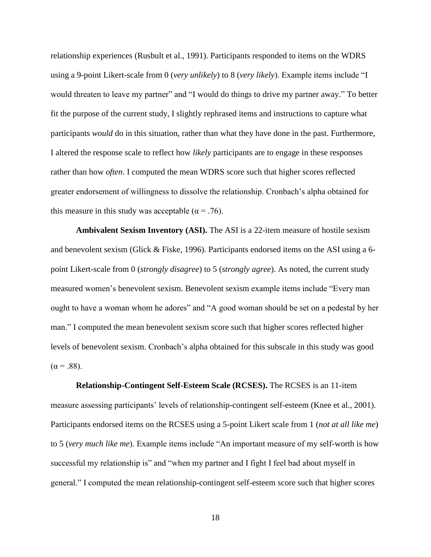relationship experiences (Rusbult et al., 1991). Participants responded to items on the WDRS using a 9-point Likert-scale from 0 (*very unlikely*) to 8 (*very likely*). Example items include "I would threaten to leave my partner" and "I would do things to drive my partner away." To better fit the purpose of the current study, I slightly rephrased items and instructions to capture what participants *would* do in this situation, rather than what they have done in the past. Furthermore, I altered the response scale to reflect how *likely* participants are to engage in these responses rather than how *often*. I computed the mean WDRS score such that higher scores reflected greater endorsement of willingness to dissolve the relationship. Cronbach's alpha obtained for this measure in this study was acceptable ( $\alpha$  = .76).

**Ambivalent Sexism Inventory (ASI).** The ASI is a 22-item measure of hostile sexism and benevolent sexism (Glick & Fiske, 1996). Participants endorsed items on the ASI using a 6 point Likert-scale from 0 (*strongly disagree*) to 5 (*strongly agree*). As noted, the current study measured women's benevolent sexism. Benevolent sexism example items include "Every man ought to have a woman whom he adores" and "A good woman should be set on a pedestal by her man." I computed the mean benevolent sexism score such that higher scores reflected higher levels of benevolent sexism. Cronbach's alpha obtained for this subscale in this study was good  $(\alpha = .88)$ .

**Relationship-Contingent Self-Esteem Scale (RCSES).** The RCSES is an 11-item measure assessing participants' levels of relationship-contingent self-esteem (Knee et al., 2001). Participants endorsed items on the RCSES using a 5-point Likert scale from 1 (*not at all like me*) to 5 (*very much like me*). Example items include "An important measure of my self-worth is how successful my relationship is" and "when my partner and I fight I feel bad about myself in general." I computed the mean relationship-contingent self-esteem score such that higher scores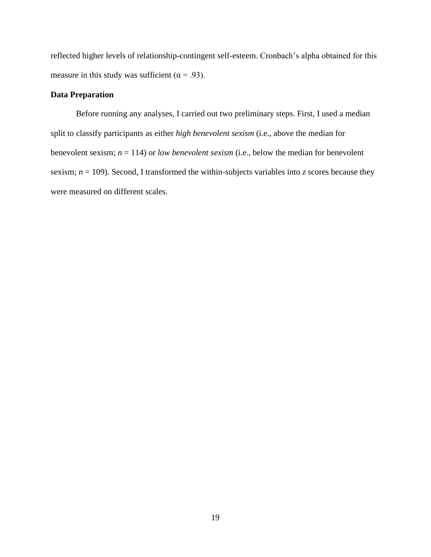reflected higher levels of relationship-contingent self-esteem. Cronbach's alpha obtained for this measure in this study was sufficient ( $\alpha$  = .93).

## **Data Preparation**

Before running any analyses, I carried out two preliminary steps. First, I used a median split to classify participants as either *high benevolent sexism* (i.e., above the median for benevolent sexism; *n* = 114) or *low benevolent sexism* (i.e., below the median for benevolent sexism;  $n = 109$ ). Second, I transformed the within-subjects variables into *z* scores because they were measured on different scales.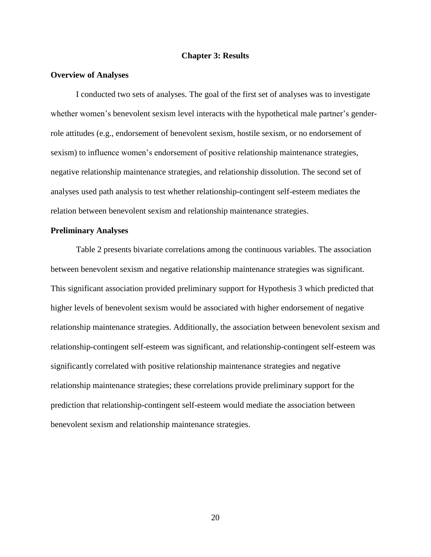#### **Chapter 3: Results**

#### **Overview of Analyses**

I conducted two sets of analyses. The goal of the first set of analyses was to investigate whether women's benevolent sexism level interacts with the hypothetical male partner's genderrole attitudes (e.g., endorsement of benevolent sexism, hostile sexism, or no endorsement of sexism) to influence women's endorsement of positive relationship maintenance strategies, negative relationship maintenance strategies, and relationship dissolution. The second set of analyses used path analysis to test whether relationship-contingent self-esteem mediates the relation between benevolent sexism and relationship maintenance strategies.

#### **Preliminary Analyses**

Table 2 presents bivariate correlations among the continuous variables. The association between benevolent sexism and negative relationship maintenance strategies was significant. This significant association provided preliminary support for Hypothesis 3 which predicted that higher levels of benevolent sexism would be associated with higher endorsement of negative relationship maintenance strategies. Additionally, the association between benevolent sexism and relationship-contingent self-esteem was significant, and relationship-contingent self-esteem was significantly correlated with positive relationship maintenance strategies and negative relationship maintenance strategies; these correlations provide preliminary support for the prediction that relationship-contingent self-esteem would mediate the association between benevolent sexism and relationship maintenance strategies.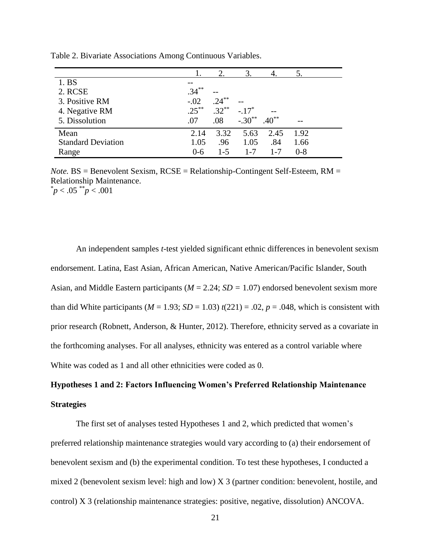| 1. BS                     |          |          |          |         |         |
|---------------------------|----------|----------|----------|---------|---------|
| 2. RCSE                   | $.34***$ |          |          |         |         |
| 3. Positive RM            | $-.02$   | $.24***$ |          |         |         |
| 4. Negative RM            | $.25***$ | $.32***$ | $-.17*$  |         |         |
| 5. Dissolution            | .07      | .08      | $-.30**$ | $.40**$ |         |
| Mean                      | 2.14     | 3.32     | 5.63     | 2.45    | 1.92    |
| <b>Standard Deviation</b> | 1.05     | .96      | 1.05     | .84     | 1.66    |
| Range                     | $0 - 6$  | $1 - 5$  | $1 - 7$  | $1 - 7$ | $0 - 8$ |

Table 2. Bivariate Associations Among Continuous Variables.

*Note.* BS = Benevolent Sexism, RCSE = Relationship-Contingent Self-Esteem, RM = Relationship Maintenance.  $p< .05$  \*\* $p< .001$ 

An independent samples *t*-test yielded significant ethnic differences in benevolent sexism endorsement. Latina, East Asian, African American, Native American/Pacific Islander, South Asian, and Middle Eastern participants (*M* = 2.24; *SD =* 1.07) endorsed benevolent sexism more than did White participants ( $M = 1.93$ ;  $SD = 1.03$ )  $t(221) = .02$ ,  $p = .048$ , which is consistent with prior research (Robnett, Anderson, & Hunter, 2012). Therefore, ethnicity served as a covariate in the forthcoming analyses. For all analyses, ethnicity was entered as a control variable where White was coded as 1 and all other ethnicities were coded as 0.

# **Hypotheses 1 and 2: Factors Influencing Women's Preferred Relationship Maintenance Strategies**

The first set of analyses tested Hypotheses 1 and 2, which predicted that women's preferred relationship maintenance strategies would vary according to (a) their endorsement of benevolent sexism and (b) the experimental condition. To test these hypotheses, I conducted a mixed 2 (benevolent sexism level: high and low) X 3 (partner condition: benevolent, hostile, and control) X 3 (relationship maintenance strategies: positive, negative, dissolution) ANCOVA.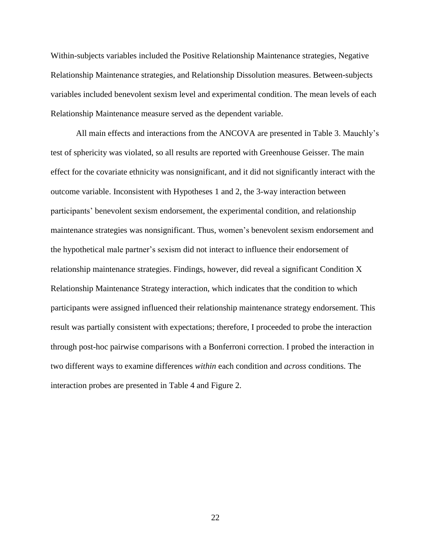Within-subjects variables included the Positive Relationship Maintenance strategies, Negative Relationship Maintenance strategies, and Relationship Dissolution measures. Between-subjects variables included benevolent sexism level and experimental condition. The mean levels of each Relationship Maintenance measure served as the dependent variable.

All main effects and interactions from the ANCOVA are presented in Table 3. Mauchly's test of sphericity was violated, so all results are reported with Greenhouse Geisser. The main effect for the covariate ethnicity was nonsignificant, and it did not significantly interact with the outcome variable. Inconsistent with Hypotheses 1 and 2, the 3-way interaction between participants' benevolent sexism endorsement, the experimental condition, and relationship maintenance strategies was nonsignificant. Thus, women's benevolent sexism endorsement and the hypothetical male partner's sexism did not interact to influence their endorsement of relationship maintenance strategies. Findings, however, did reveal a significant Condition X Relationship Maintenance Strategy interaction, which indicates that the condition to which participants were assigned influenced their relationship maintenance strategy endorsement. This result was partially consistent with expectations; therefore, I proceeded to probe the interaction through post-hoc pairwise comparisons with a Bonferroni correction. I probed the interaction in two different ways to examine differences *within* each condition and *across* conditions. The interaction probes are presented in Table 4 and Figure 2.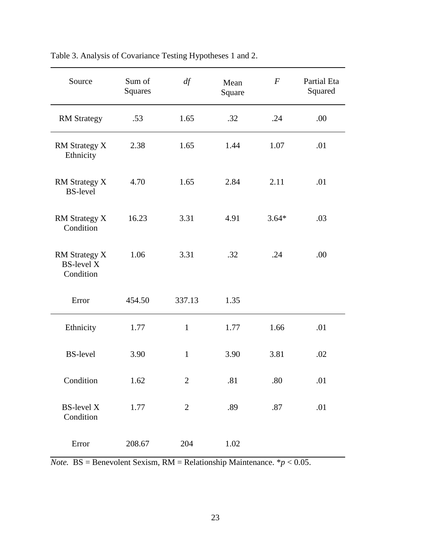| Source                                                 | Sum of<br>Squares | df             | Mean<br>Square | $\overline{F}$ | Partial Eta<br>Squared |
|--------------------------------------------------------|-------------------|----------------|----------------|----------------|------------------------|
| <b>RM</b> Strategy                                     | .53               | 1.65           | .32            | .24            | .00                    |
| <b>RM Strategy X</b><br>Ethnicity                      | 2.38              | 1.65           | 1.44           | 1.07           | .01                    |
| <b>RM Strategy X</b><br><b>BS-level</b>                | 4.70              | 1.65           | 2.84           | 2.11           | .01                    |
| <b>RM Strategy X</b><br>Condition                      | 16.23             | 3.31           | 4.91           | $3.64*$        | .03                    |
| <b>RM Strategy X</b><br><b>BS-level X</b><br>Condition | 1.06              | 3.31           | .32            | .24            | .00                    |
| Error                                                  | 454.50            | 337.13         | 1.35           |                |                        |
| Ethnicity                                              | 1.77              | $\mathbf{1}$   | 1.77           | 1.66           | .01                    |
| <b>BS-level</b>                                        | 3.90              | $\mathbf{1}$   | 3.90           | 3.81           | .02                    |
| Condition                                              | 1.62              | $\overline{2}$ | .81            | .80            | .01                    |
| <b>BS-level X</b><br>Condition                         | 1.77              | $\overline{2}$ | .89            | .87            | .01                    |
| Error                                                  | 208.67            | 204            | $1.02\,$       |                |                        |

Table 3. Analysis of Covariance Testing Hypotheses 1 and 2.

*Note.* BS = Benevolent Sexism, RM = Relationship Maintenance.  $* p < 0.05$ .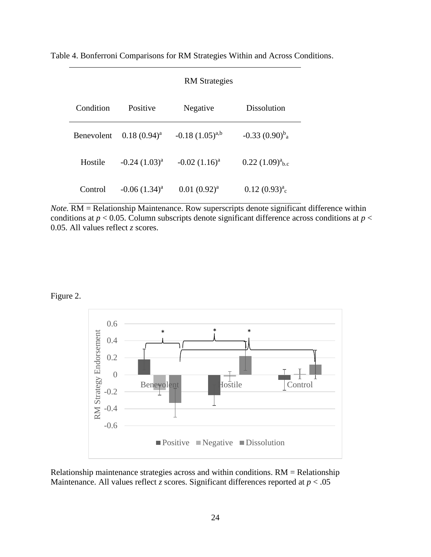Table 4. Bonferroni Comparisons for RM Strategies Within and Across Conditions.

|                   |                    | <b>RM</b> Strategies   |                              |
|-------------------|--------------------|------------------------|------------------------------|
| Condition         | Positive           | Negative               | Dissolution                  |
| <b>Benevolent</b> | $0.18(0.94)^{a}$   | $-0.18$ $(1.05)^{a,b}$ | $-0.33(0.90)^b$ <sub>a</sub> |
| Hostile           | $-0.24$ $(1.03)^a$ | $-0.02$ $(1.16)^a$     | $0.22 (1.09)^a_{\rm b.c}$    |
| Control           | $-0.06$ $(1.34)^a$ | $0.01(0.92)^{a}$       | $0.12 (0.93)^a$ <sub>c</sub> |

*Note.* **RM** = Relationship Maintenance. Row superscripts denote significant difference within conditions at  $p < 0.05$ . Column subscripts denote significant difference across conditions at  $p <$ 0.05. All values reflect *z* scores.

# Figure 2.



Relationship maintenance strategies across and within conditions. RM = Relationship Maintenance. All values reflect *z* scores. Significant differences reported at  $p < .05$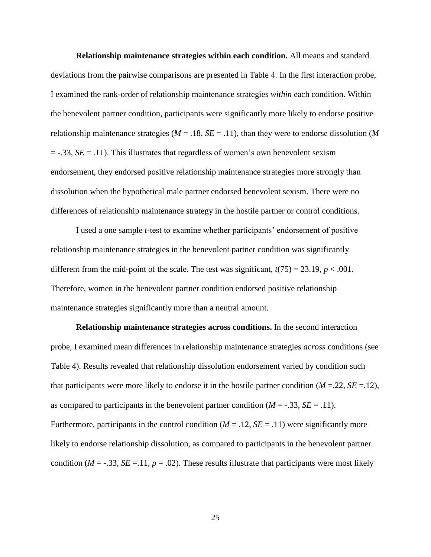**Relationship maintenance strategies within each condition.** All means and standard deviations from the pairwise comparisons are presented in Table 4. In the first interaction probe, I examined the rank-order of relationship maintenance strategies *within* each condition. Within the benevolent partner condition, participants were significantly more likely to endorse positive relationship maintenance strategies ( $M = .18$ ,  $SE = .11$ ), than they were to endorse dissolution ( $M$  $=$  -.33, *SE* = .11). This illustrates that regardless of women's own benevolent sexism endorsement, they endorsed positive relationship maintenance strategies more strongly than dissolution when the hypothetical male partner endorsed benevolent sexism. There were no differences of relationship maintenance strategy in the hostile partner or control conditions.

I used a one sample *t*-test to examine whether participants' endorsement of positive relationship maintenance strategies in the benevolent partner condition was significantly different from the mid-point of the scale. The test was significant,  $t(75) = 23.19$ ,  $p < .001$ . Therefore, women in the benevolent partner condition endorsed positive relationship maintenance strategies significantly more than a neutral amount.

**Relationship maintenance strategies across conditions.** In the second interaction probe, I examined mean differences in relationship maintenance strategies *across* conditions (see Table 4). Results revealed that relationship dissolution endorsement varied by condition such that participants were more likely to endorse it in the hostile partner condition  $(M = 22, SE = 12)$ , as compared to participants in the benevolent partner condition  $(M = -.33, SE = .11)$ . Furthermore, participants in the control condition  $(M = .12, SE = .11)$  were significantly more likely to endorse relationship dissolution, as compared to participants in the benevolent partner condition ( $M = -0.33$ ,  $SE = 0.11$ ,  $p = 0.02$ ). These results illustrate that participants were most likely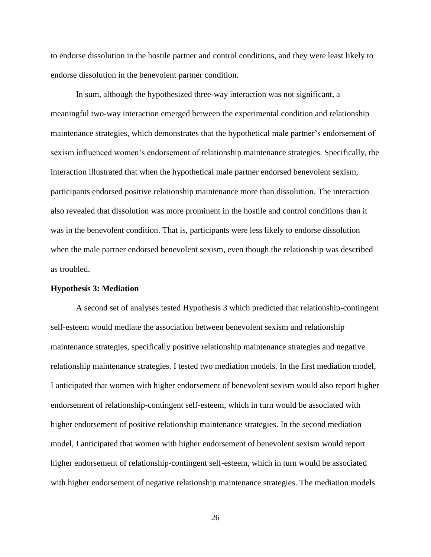to endorse dissolution in the hostile partner and control conditions, and they were least likely to endorse dissolution in the benevolent partner condition.

In sum, although the hypothesized three-way interaction was not significant, a meaningful two-way interaction emerged between the experimental condition and relationship maintenance strategies, which demonstrates that the hypothetical male partner's endorsement of sexism influenced women's endorsement of relationship maintenance strategies. Specifically, the interaction illustrated that when the hypothetical male partner endorsed benevolent sexism, participants endorsed positive relationship maintenance more than dissolution. The interaction also revealed that dissolution was more prominent in the hostile and control conditions than it was in the benevolent condition. That is, participants were less likely to endorse dissolution when the male partner endorsed benevolent sexism, even though the relationship was described as troubled.

#### **Hypothesis 3: Mediation**

A second set of analyses tested Hypothesis 3 which predicted that relationship-contingent self-esteem would mediate the association between benevolent sexism and relationship maintenance strategies, specifically positive relationship maintenance strategies and negative relationship maintenance strategies. I tested two mediation models. In the first mediation model, I anticipated that women with higher endorsement of benevolent sexism would also report higher endorsement of relationship-contingent self-esteem, which in turn would be associated with higher endorsement of positive relationship maintenance strategies. In the second mediation model, I anticipated that women with higher endorsement of benevolent sexism would report higher endorsement of relationship-contingent self-esteem, which in turn would be associated with higher endorsement of negative relationship maintenance strategies. The mediation models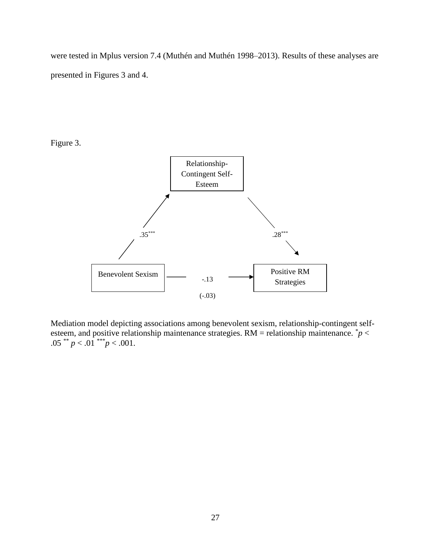were tested in Mplus version 7.4 (Muthén and Muthén 1998–2013). Results of these analyses are presented in Figures 3 and 4.

Figure 3.



Mediation model depicting associations among benevolent sexism, relationship-contingent selfesteem, and positive relationship maintenance strategies.  $RM =$  relationship maintenance.  $\dot{p}$  < .05 \*\*  $p < .01$ \*\*\* $p < .001$ .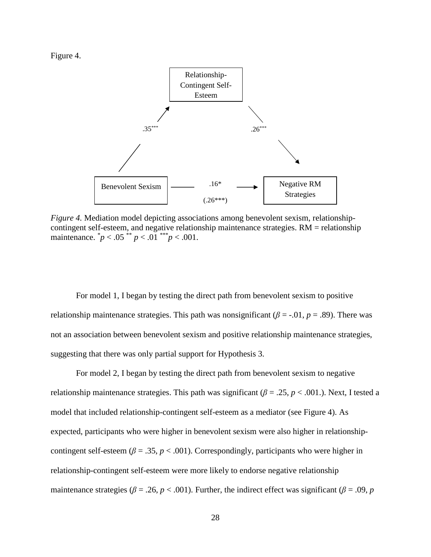Figure 4.



*Figure 4.* Mediation model depicting associations among benevolent sexism, relationshipcontingent self-esteem, and negative relationship maintenance strategies. RM = relationship maintenance.  $\binom{p}{0}$  < .05  $\binom{p}{0}$  < .01  $\binom{p}{0}$  < .001.

For model 1, I began by testing the direct path from benevolent sexism to positive relationship maintenance strategies. This path was nonsignificant ( $\beta$  = -.01,  $p$  = .89). There was not an association between benevolent sexism and positive relationship maintenance strategies, suggesting that there was only partial support for Hypothesis 3.

For model 2, I began by testing the direct path from benevolent sexism to negative relationship maintenance strategies. This path was significant ( $\beta = .25$ ,  $p < .001$ .). Next, I tested a model that included relationship-contingent self-esteem as a mediator (see Figure 4). As expected, participants who were higher in benevolent sexism were also higher in relationshipcontingent self-esteem ( $\beta = .35$ ,  $p < .001$ ). Correspondingly, participants who were higher in relationship-contingent self-esteem were more likely to endorse negative relationship maintenance strategies ( $\beta$  = .26, *p* < .001). Further, the indirect effect was significant ( $\beta$  = .09, *p*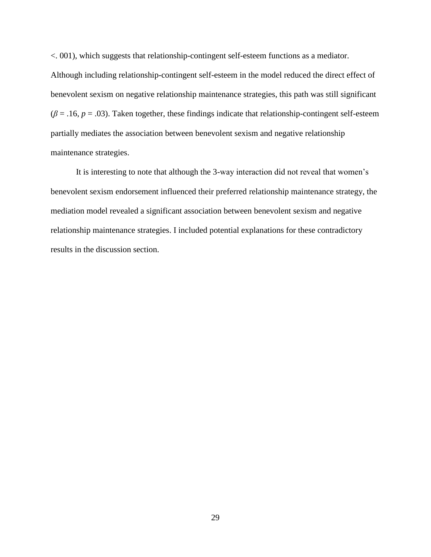<. 001), which suggests that relationship-contingent self-esteem functions as a mediator. Although including relationship-contingent self-esteem in the model reduced the direct effect of benevolent sexism on negative relationship maintenance strategies, this path was still significant  $(\beta = .16, p = .03)$ . Taken together, these findings indicate that relationship-contingent self-esteem partially mediates the association between benevolent sexism and negative relationship maintenance strategies.

It is interesting to note that although the 3-way interaction did not reveal that women's benevolent sexism endorsement influenced their preferred relationship maintenance strategy, the mediation model revealed a significant association between benevolent sexism and negative relationship maintenance strategies. I included potential explanations for these contradictory results in the discussion section.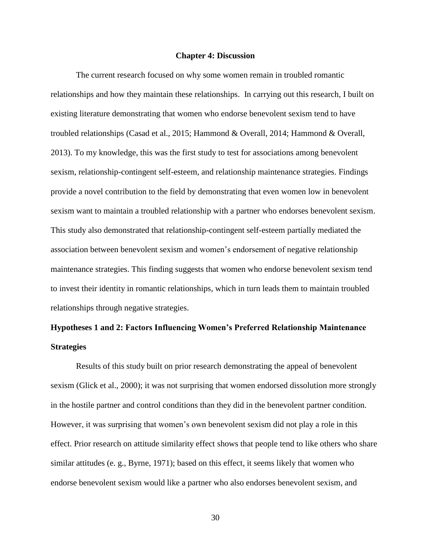#### **Chapter 4: Discussion**

The current research focused on why some women remain in troubled romantic relationships and how they maintain these relationships. In carrying out this research, I built on existing literature demonstrating that women who endorse benevolent sexism tend to have troubled relationships (Casad et al., 2015; Hammond & Overall, 2014; Hammond & Overall, 2013). To my knowledge, this was the first study to test for associations among benevolent sexism, relationship-contingent self-esteem, and relationship maintenance strategies. Findings provide a novel contribution to the field by demonstrating that even women low in benevolent sexism want to maintain a troubled relationship with a partner who endorses benevolent sexism. This study also demonstrated that relationship-contingent self-esteem partially mediated the association between benevolent sexism and women's endorsement of negative relationship maintenance strategies. This finding suggests that women who endorse benevolent sexism tend to invest their identity in romantic relationships, which in turn leads them to maintain troubled relationships through negative strategies.

# **Hypotheses 1 and 2: Factors Influencing Women's Preferred Relationship Maintenance Strategies**

Results of this study built on prior research demonstrating the appeal of benevolent sexism (Glick et al., 2000); it was not surprising that women endorsed dissolution more strongly in the hostile partner and control conditions than they did in the benevolent partner condition. However, it was surprising that women's own benevolent sexism did not play a role in this effect. Prior research on attitude similarity effect shows that people tend to like others who share similar attitudes (e. g., Byrne, 1971); based on this effect, it seems likely that women who endorse benevolent sexism would like a partner who also endorses benevolent sexism, and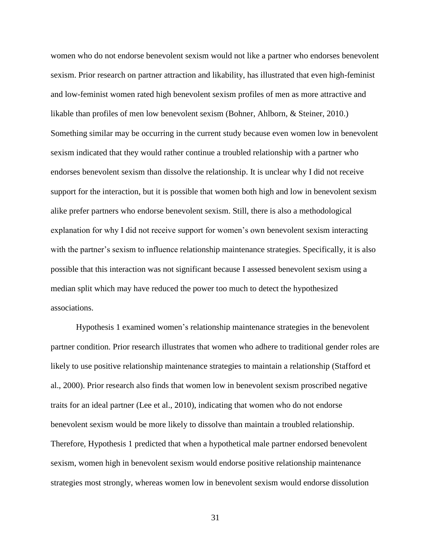women who do not endorse benevolent sexism would not like a partner who endorses benevolent sexism. Prior research on partner attraction and likability, has illustrated that even high-feminist and low-feminist women rated high benevolent sexism profiles of men as more attractive and likable than profiles of men low benevolent sexism (Bohner, Ahlborn, & Steiner, 2010.) Something similar may be occurring in the current study because even women low in benevolent sexism indicated that they would rather continue a troubled relationship with a partner who endorses benevolent sexism than dissolve the relationship. It is unclear why I did not receive support for the interaction, but it is possible that women both high and low in benevolent sexism alike prefer partners who endorse benevolent sexism. Still, there is also a methodological explanation for why I did not receive support for women's own benevolent sexism interacting with the partner's sexism to influence relationship maintenance strategies. Specifically, it is also possible that this interaction was not significant because I assessed benevolent sexism using a median split which may have reduced the power too much to detect the hypothesized associations.

Hypothesis 1 examined women's relationship maintenance strategies in the benevolent partner condition. Prior research illustrates that women who adhere to traditional gender roles are likely to use positive relationship maintenance strategies to maintain a relationship (Stafford et al., 2000). Prior research also finds that women low in benevolent sexism proscribed negative traits for an ideal partner (Lee et al., 2010), indicating that women who do not endorse benevolent sexism would be more likely to dissolve than maintain a troubled relationship. Therefore, Hypothesis 1 predicted that when a hypothetical male partner endorsed benevolent sexism, women high in benevolent sexism would endorse positive relationship maintenance strategies most strongly, whereas women low in benevolent sexism would endorse dissolution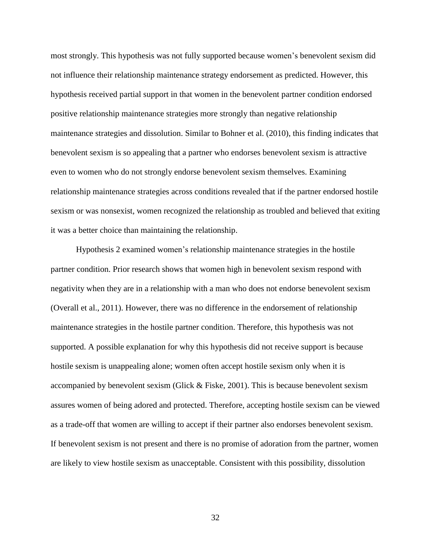most strongly. This hypothesis was not fully supported because women's benevolent sexism did not influence their relationship maintenance strategy endorsement as predicted. However, this hypothesis received partial support in that women in the benevolent partner condition endorsed positive relationship maintenance strategies more strongly than negative relationship maintenance strategies and dissolution. Similar to Bohner et al. (2010), this finding indicates that benevolent sexism is so appealing that a partner who endorses benevolent sexism is attractive even to women who do not strongly endorse benevolent sexism themselves. Examining relationship maintenance strategies across conditions revealed that if the partner endorsed hostile sexism or was nonsexist, women recognized the relationship as troubled and believed that exiting it was a better choice than maintaining the relationship.

Hypothesis 2 examined women's relationship maintenance strategies in the hostile partner condition. Prior research shows that women high in benevolent sexism respond with negativity when they are in a relationship with a man who does not endorse benevolent sexism (Overall et al., 2011). However, there was no difference in the endorsement of relationship maintenance strategies in the hostile partner condition. Therefore, this hypothesis was not supported. A possible explanation for why this hypothesis did not receive support is because hostile sexism is unappealing alone; women often accept hostile sexism only when it is accompanied by benevolent sexism (Glick & Fiske, 2001). This is because benevolent sexism assures women of being adored and protected. Therefore, accepting hostile sexism can be viewed as a trade-off that women are willing to accept if their partner also endorses benevolent sexism. If benevolent sexism is not present and there is no promise of adoration from the partner, women are likely to view hostile sexism as unacceptable. Consistent with this possibility, dissolution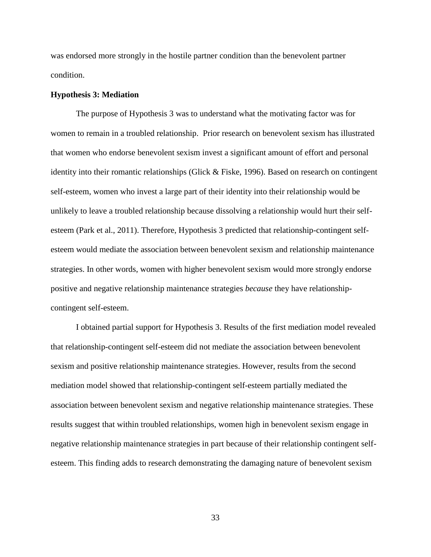was endorsed more strongly in the hostile partner condition than the benevolent partner condition.

#### **Hypothesis 3: Mediation**

The purpose of Hypothesis 3 was to understand what the motivating factor was for women to remain in a troubled relationship. Prior research on benevolent sexism has illustrated that women who endorse benevolent sexism invest a significant amount of effort and personal identity into their romantic relationships (Glick & Fiske, 1996). Based on research on contingent self-esteem, women who invest a large part of their identity into their relationship would be unlikely to leave a troubled relationship because dissolving a relationship would hurt their selfesteem (Park et al., 2011). Therefore, Hypothesis 3 predicted that relationship-contingent selfesteem would mediate the association between benevolent sexism and relationship maintenance strategies. In other words, women with higher benevolent sexism would more strongly endorse positive and negative relationship maintenance strategies *because* they have relationshipcontingent self-esteem.

I obtained partial support for Hypothesis 3. Results of the first mediation model revealed that relationship-contingent self-esteem did not mediate the association between benevolent sexism and positive relationship maintenance strategies. However, results from the second mediation model showed that relationship-contingent self-esteem partially mediated the association between benevolent sexism and negative relationship maintenance strategies. These results suggest that within troubled relationships, women high in benevolent sexism engage in negative relationship maintenance strategies in part because of their relationship contingent selfesteem. This finding adds to research demonstrating the damaging nature of benevolent sexism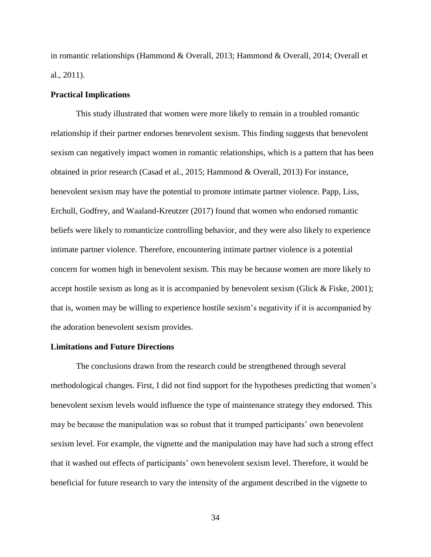in romantic relationships (Hammond & Overall, 2013; Hammond & Overall, 2014; Overall et al., 2011).

#### **Practical Implications**

This study illustrated that women were more likely to remain in a troubled romantic relationship if their partner endorses benevolent sexism. This finding suggests that benevolent sexism can negatively impact women in romantic relationships, which is a pattern that has been obtained in prior research (Casad et al., 2015; Hammond & Overall, 2013) For instance, benevolent sexism may have the potential to promote intimate partner violence. Papp, Liss, Erchull, Godfrey, and Waaland-Kreutzer (2017) found that women who endorsed romantic beliefs were likely to romanticize controlling behavior, and they were also likely to experience intimate partner violence. Therefore, encountering intimate partner violence is a potential concern for women high in benevolent sexism. This may be because women are more likely to accept hostile sexism as long as it is accompanied by benevolent sexism (Glick & Fiske, 2001); that is, women may be willing to experience hostile sexism's negativity if it is accompanied by the adoration benevolent sexism provides.

#### **Limitations and Future Directions**

The conclusions drawn from the research could be strengthened through several methodological changes. First, I did not find support for the hypotheses predicting that women's benevolent sexism levels would influence the type of maintenance strategy they endorsed. This may be because the manipulation was so robust that it trumped participants' own benevolent sexism level. For example, the vignette and the manipulation may have had such a strong effect that it washed out effects of participants' own benevolent sexism level. Therefore, it would be beneficial for future research to vary the intensity of the argument described in the vignette to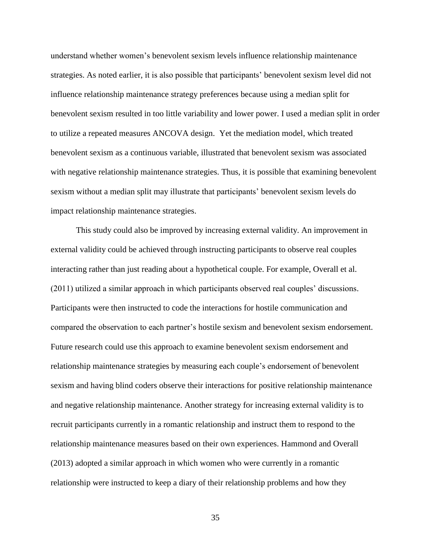understand whether women's benevolent sexism levels influence relationship maintenance strategies. As noted earlier, it is also possible that participants' benevolent sexism level did not influence relationship maintenance strategy preferences because using a median split for benevolent sexism resulted in too little variability and lower power. I used a median split in order to utilize a repeated measures ANCOVA design. Yet the mediation model, which treated benevolent sexism as a continuous variable, illustrated that benevolent sexism was associated with negative relationship maintenance strategies. Thus, it is possible that examining benevolent sexism without a median split may illustrate that participants' benevolent sexism levels do impact relationship maintenance strategies.

This study could also be improved by increasing external validity. An improvement in external validity could be achieved through instructing participants to observe real couples interacting rather than just reading about a hypothetical couple. For example, Overall et al. (2011) utilized a similar approach in which participants observed real couples' discussions. Participants were then instructed to code the interactions for hostile communication and compared the observation to each partner's hostile sexism and benevolent sexism endorsement. Future research could use this approach to examine benevolent sexism endorsement and relationship maintenance strategies by measuring each couple's endorsement of benevolent sexism and having blind coders observe their interactions for positive relationship maintenance and negative relationship maintenance. Another strategy for increasing external validity is to recruit participants currently in a romantic relationship and instruct them to respond to the relationship maintenance measures based on their own experiences. Hammond and Overall (2013) adopted a similar approach in which women who were currently in a romantic relationship were instructed to keep a diary of their relationship problems and how they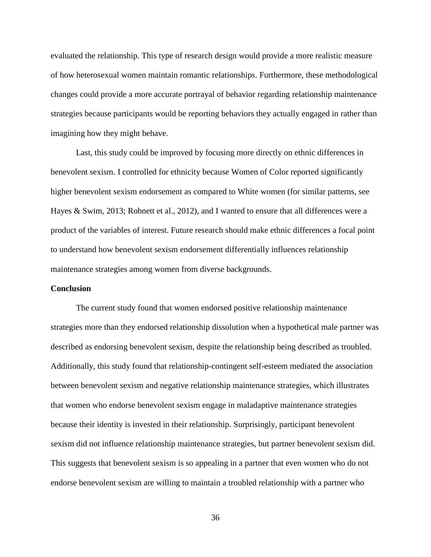evaluated the relationship. This type of research design would provide a more realistic measure of how heterosexual women maintain romantic relationships. Furthermore, these methodological changes could provide a more accurate portrayal of behavior regarding relationship maintenance strategies because participants would be reporting behaviors they actually engaged in rather than imagining how they might behave.

Last, this study could be improved by focusing more directly on ethnic differences in benevolent sexism. I controlled for ethnicity because Women of Color reported significantly higher benevolent sexism endorsement as compared to White women (for similar patterns, see Hayes & Swim, 2013; Robnett et al., 2012), and I wanted to ensure that all differences were a product of the variables of interest. Future research should make ethnic differences a focal point to understand how benevolent sexism endorsement differentially influences relationship maintenance strategies among women from diverse backgrounds.

#### **Conclusion**

The current study found that women endorsed positive relationship maintenance strategies more than they endorsed relationship dissolution when a hypothetical male partner was described as endorsing benevolent sexism, despite the relationship being described as troubled. Additionally, this study found that relationship-contingent self-esteem mediated the association between benevolent sexism and negative relationship maintenance strategies, which illustrates that women who endorse benevolent sexism engage in maladaptive maintenance strategies because their identity is invested in their relationship. Surprisingly, participant benevolent sexism did not influence relationship maintenance strategies, but partner benevolent sexism did. This suggests that benevolent sexism is so appealing in a partner that even women who do not endorse benevolent sexism are willing to maintain a troubled relationship with a partner who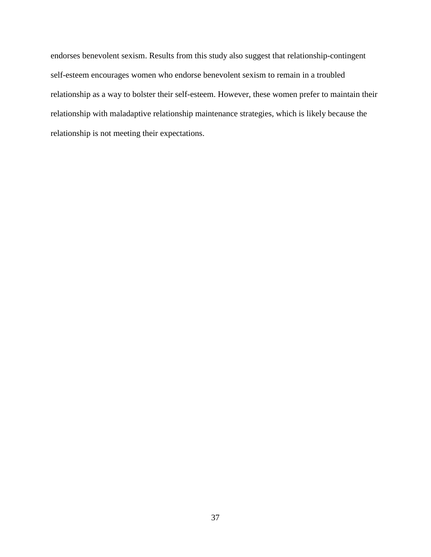endorses benevolent sexism. Results from this study also suggest that relationship-contingent self-esteem encourages women who endorse benevolent sexism to remain in a troubled relationship as a way to bolster their self-esteem. However, these women prefer to maintain their relationship with maladaptive relationship maintenance strategies, which is likely because the relationship is not meeting their expectations.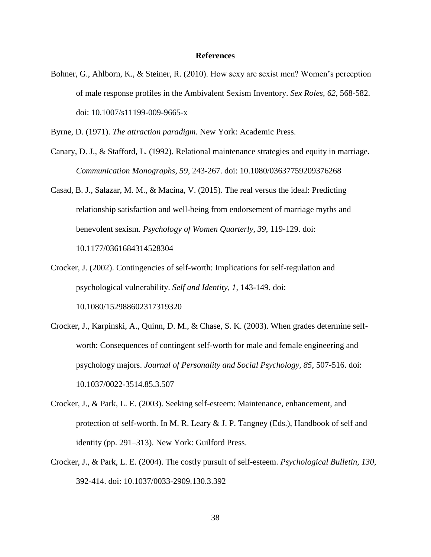#### **References**

Bohner, G., Ahlborn, K., & Steiner, R. (2010). How sexy are sexist men? Women's perception of male response profiles in the Ambivalent Sexism Inventory. *Sex Roles, 62*, 568-582. doi: [10.1007/s11199-009-9665-x](http://doi.org/10.1007/s11199-009-9665-x)

Byrne, D. (1971). *The attraction paradigm.* New York: Academic Press.

- Canary, D. J., & Stafford, L. (1992). Relational maintenance strategies and equity in marriage. *Communication Monographs, 59*, 243-267. doi: 10.1080/03637759209376268
- Casad, B. J., Salazar, M. M., & Macina, V. (2015). The real versus the ideal: Predicting relationship satisfaction and well-being from endorsement of marriage myths and benevolent sexism. *Psychology of Women Quarterly, 39*, 119-129. doi: 10.1177/0361684314528304
- Crocker, J. (2002). Contingencies of self-worth: Implications for self-regulation and psychological vulnerability. *Self and Identity, 1*, 143-149. doi: 10.1080/152988602317319320
- Crocker, J., Karpinski, A., Quinn, D. M., & Chase, S. K. (2003). When grades determine selfworth: Consequences of contingent self-worth for male and female engineering and psychology majors. *Journal of Personality and Social Psychology, 85*, 507-516. doi: 10.1037/0022-3514.85.3.507
- Crocker, J., & Park, L. E. (2003). Seeking self-esteem: Maintenance, enhancement, and protection of self-worth. In M. R. Leary & J. P. Tangney (Eds.), Handbook of self and identity (pp. 291–313). New York: Guilford Press.
- Crocker, J., & Park, L. E. (2004). The costly pursuit of self-esteem. *Psychological Bulletin, 130*, 392-414. doi: 10.1037/0033-2909.130.3.392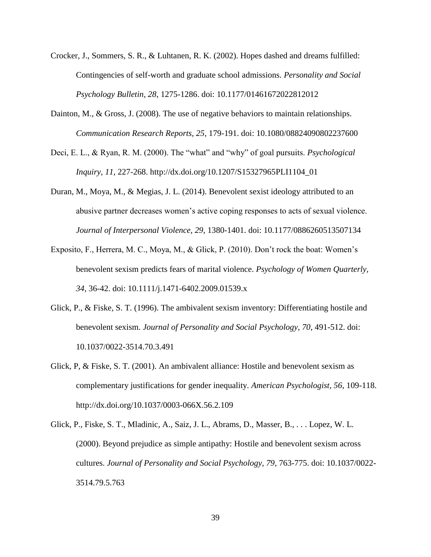- Crocker, J., Sommers, S. R., & Luhtanen, R. K. (2002). Hopes dashed and dreams fulfilled: Contingencies of self-worth and graduate school admissions. *Personality and Social Psychology Bulletin, 28*, 1275-1286. doi: 10.1177/01461672022812012
- Dainton, M., & Gross, J. (2008). The use of negative behaviors to maintain relationships. *Communication Research Reports, 25*, 179-191. doi: 10.1080/08824090802237600
- Deci, E. L., & Ryan, R. M. (2000). The "what" and "why" of goal pursuits. *Psychological Inquiry, 11*, 227-268. http://dx.doi.org/10.1207/S15327965PLI1104\_01
- Duran, M., Moya, M., & Megias, J. L. (2014). Benevolent sexist ideology attributed to an abusive partner decreases women's active coping responses to acts of sexual violence. *Journal of Interpersonal Violence, 29*, 1380-1401. doi: 10.1177/0886260513507134
- Exposito, F., Herrera, M. C., Moya, M., & Glick, P. (2010). Don't rock the boat: Women's benevolent sexism predicts fears of marital violence. *Psychology of Women Quarterly, 34*, 36-42. doi: 10.1111/j.1471-6402.2009.01539.x
- Glick, P., & Fiske, S. T. (1996). The ambivalent sexism inventory: Differentiating hostile and benevolent sexism. *Journal of Personality and Social Psychology, 70*, 491-512. doi: 10.1037/0022-3514.70.3.491
- Glick, P, & Fiske, S. T. (2001). An ambivalent alliance: Hostile and benevolent sexism as complementary justifications for gender inequality. *American Psychologist, 56*, 109-118. http://dx.doi.org/10.1037/0003-066X.56.2.109
- Glick, P., Fiske, S. T., Mladinic, A., Saiz, J. L., Abrams, D., Masser, B., . . . Lopez, W. L. (2000). Beyond prejudice as simple antipathy: Hostile and benevolent sexism across cultures. *Journal of Personality and Social Psychology, 79*, 763-775. doi: 10.1037/0022- 3514.79.5.763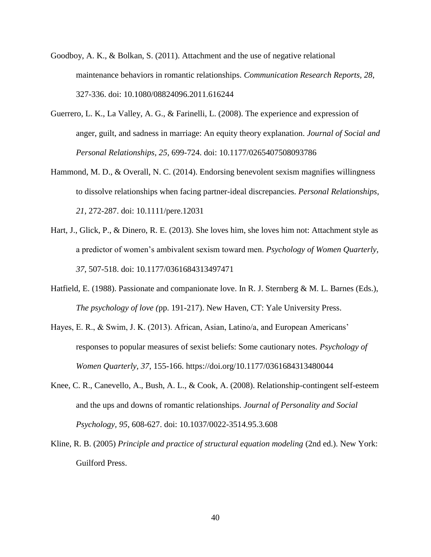- Goodboy, A. K., & Bolkan, S. (2011). Attachment and the use of negative relational maintenance behaviors in romantic relationships. *Communication Research Reports, 28*, 327-336. doi: 10.1080/08824096.2011.616244
- Guerrero, L. K., La Valley, A. G., & Farinelli, L. (2008). The experience and expression of anger, guilt, and sadness in marriage: An equity theory explanation. *Journal of Social and Personal Relationships, 25*, 699-724. doi: 10.1177/0265407508093786
- Hammond, M. D., & Overall, N. C. (2014). Endorsing benevolent sexism magnifies willingness to dissolve relationships when facing partner-ideal discrepancies. *Personal Relationships, 21*, 272-287. doi: 10.1111/pere.12031
- Hart, J., Glick, P., & Dinero, R. E. (2013). She loves him, she loves him not: Attachment style as a predictor of women's ambivalent sexism toward men. *Psychology of Women Quarterly, 37*, 507-518. doi: 10.1177/0361684313497471
- Hatfield, E. (1988). Passionate and companionate love. In R. J. Sternberg & M. L. Barnes (Eds.), *The psychology of love (*pp. 191-217). New Haven, CT: Yale University Press.
- Hayes, E. R., & Swim, J. K. (2013). African, Asian, Latino/a, and European Americans' responses to popular measures of sexist beliefs: Some cautionary notes. *Psychology of Women Quarterly, 37*, 155-166. https://doi.org/10.1177/0361684313480044
- Knee, C. R., Canevello, A., Bush, A. L., & Cook, A. (2008). Relationship-contingent self-esteem and the ups and downs of romantic relationships. *Journal of Personality and Social Psychology, 95*, 608-627. doi: 10.1037/0022-3514.95.3.608
- Kline, R. B. (2005) *Principle and practice of structural equation modeling* (2nd ed.). New York: Guilford Press.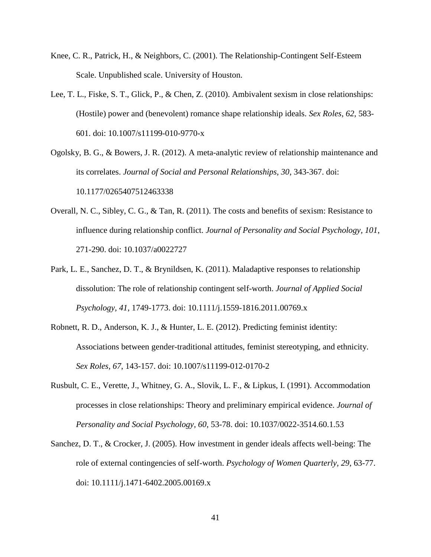- Knee, C. R., Patrick, H., & Neighbors, C. (2001). The Relationship-Contingent Self-Esteem Scale. Unpublished scale. University of Houston.
- Lee, T. L., Fiske, S. T., Glick, P., & Chen, Z. (2010). Ambivalent sexism in close relationships: (Hostile) power and (benevolent) romance shape relationship ideals. *Sex Roles, 62*, 583- 601. doi: 10.1007/s11199-010-9770-x

Ogolsky, B. G., & Bowers, J. R. (2012). A meta-analytic review of relationship maintenance and its correlates. *Journal of Social and Personal Relationships, 30*, 343-367. doi: 10.1177/0265407512463338

- Overall, N. C., Sibley, C. G., & Tan, R. (2011). The costs and benefits of sexism: Resistance to influence during relationship conflict. *Journal of Personality and Social Psychology, 101*, 271-290. doi: 10.1037/a0022727
- Park, L. E., Sanchez, D. T., & Brynildsen, K. (2011). Maladaptive responses to relationship dissolution: The role of relationship contingent self-worth. *Journal of Applied Social Psychology, 41*, 1749-1773. doi: 10.1111/j.1559-1816.2011.00769.x
- Robnett, R. D., Anderson, K. J., & Hunter, L. E. (2012). Predicting feminist identity: Associations between gender-traditional attitudes, feminist stereotyping, and ethnicity. *Sex Roles, 67*, 143-157. doi: 10.1007/s11199-012-0170-2
- Rusbult, C. E., Verette, J., Whitney, G. A., Slovik, L. F., & Lipkus, I. (1991). Accommodation processes in close relationships: Theory and preliminary empirical evidence. *Journal of Personality and Social Psychology, 60*, 53-78. doi: 10.1037/0022-3514.60.1.53
- Sanchez, D. T., & Crocker, J. (2005). How investment in gender ideals affects well-being: The role of external contingencies of self-worth. *Psychology of Women Quarterly, 29*, 63-77. doi: 10.1111/j.1471-6402.2005.00169.x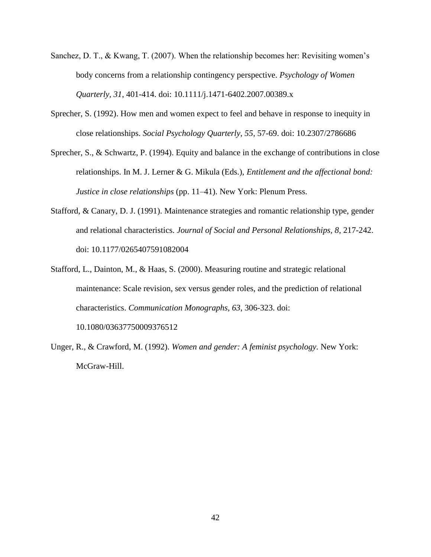- Sanchez, D. T., & Kwang, T. (2007). When the relationship becomes her: Revisiting women's body concerns from a relationship contingency perspective. *Psychology of Women Quarterly, 31*, 401-414. doi: 10.1111/j.1471-6402.2007.00389.x
- Sprecher, S. (1992). How men and women expect to feel and behave in response to inequity in close relationships. *Social Psychology Quarterly, 55*, 57-69. doi: 10.2307/2786686
- Sprecher, S., & Schwartz, P. (1994). Equity and balance in the exchange of contributions in close relationships. In M. J. Lerner & G. Mikula (Eds.), *Entitlement and the affectional bond: Justice in close relationships* (pp. 11–41). New York: Plenum Press.
- Stafford, & Canary, D. J. (1991). Maintenance strategies and romantic relationship type, gender and relational characteristics. *Journal of Social and Personal Relationships, 8*, 217-242. doi: 10.1177/0265407591082004
- Stafford, L., Dainton, M., & Haas, S. (2000). Measuring routine and strategic relational maintenance: Scale revision, sex versus gender roles, and the prediction of relational characteristics. *Communication Monographs, 63*, 306-323. doi: 10.1080/03637750009376512
- Unger, R., & Crawford, M. (1992). *Women and gender: A feminist psychology.* New York: McGraw-Hill.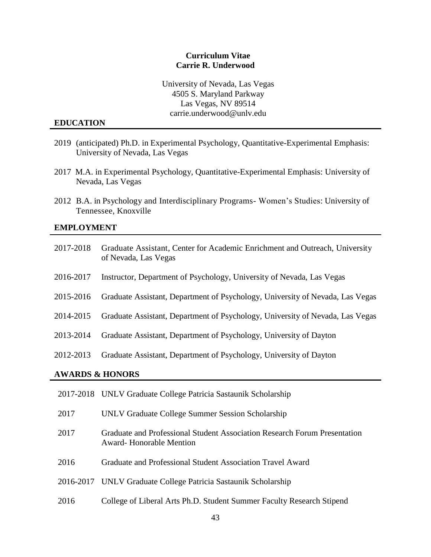#### **Curriculum Vitae Carrie R. Underwood**

University of Nevada, Las Vegas 4505 S. Maryland Parkway Las Vegas, NV 89514 carrie.underwood@unlv.edu

#### **EDUCATION**

- 2019 (anticipated) Ph.D. in Experimental Psychology, Quantitative-Experimental Emphasis: University of Nevada, Las Vegas
- 2017 M.A. in Experimental Psychology, Quantitative-Experimental Emphasis: University of Nevada, Las Vegas
- 2012 B.A. in Psychology and Interdisciplinary Programs- Women's Studies: University of Tennessee, Knoxville

#### **EMPLOYMENT**

| 2017-2018                  | Graduate Assistant, Center for Academic Enrichment and Outreach, University<br>of Nevada, Las Vegas |
|----------------------------|-----------------------------------------------------------------------------------------------------|
| 2016-2017                  | Instructor, Department of Psychology, University of Nevada, Las Vegas                               |
| 2015-2016                  | Graduate Assistant, Department of Psychology, University of Nevada, Las Vegas                       |
| 2014-2015                  | Graduate Assistant, Department of Psychology, University of Nevada, Las Vegas                       |
| 2013-2014                  | Graduate Assistant, Department of Psychology, University of Dayton                                  |
| 2012-2013                  | Graduate Assistant, Department of Psychology, University of Dayton                                  |
| <b>AWARDS &amp; HONORS</b> |                                                                                                     |
|                            | 2017-2018 UNLV Graduate College Patricia Sastaunik Scholarship                                      |

- 2017 UNLV Graduate College Summer Session Scholarship
- 2017 Graduate and Professional Student Association Research Forum Presentation Award- Honorable Mention
- 2016 Graduate and Professional Student Association Travel Award
- 2016-2017 UNLV Graduate College Patricia Sastaunik Scholarship
- 2016 College of Liberal Arts Ph.D. Student Summer Faculty Research Stipend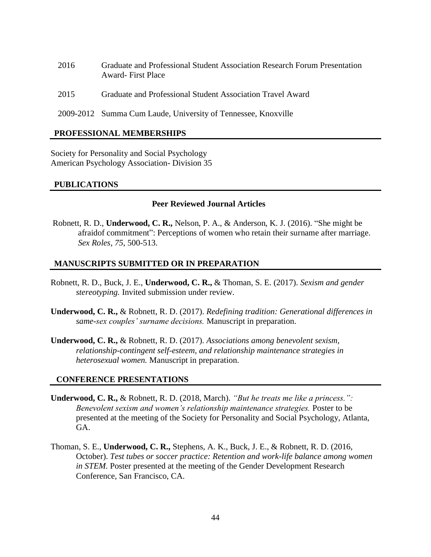- 2016 Graduate and Professional Student Association Research Forum Presentation Award- First Place
- 2015 Graduate and Professional Student Association Travel Award
- 2009-2012 Summa Cum Laude, University of Tennessee, Knoxville

## **PROFESSIONAL MEMBERSHIPS**

Society for Personality and Social Psychology American Psychology Association- Division 35

## **PUBLICATIONS**

#### **Peer Reviewed Journal Articles**

Robnett, R. D., **Underwood, C. R.,** Nelson, P. A., & Anderson, K. J. (2016). "She might be afraidof commitment": Perceptions of women who retain their surname after marriage. *Sex Roles, 75*, 500-513.

## **MANUSCRIPTS SUBMITTED OR IN PREPARATION**

- Robnett, R. D., Buck, J. E., **Underwood, C. R.,** & Thoman, S. E. (2017). *Sexism and gender stereotyping.* Invited submission under review.
- **Underwood, C. R.,** & Robnett, R. D. (2017). *Redefining tradition: Generational differences in same-sex couples' surname decisions.* Manuscript in preparation.
- **Underwood, C. R.,** & Robnett, R. D. (2017). *Associations among benevolent sexism, relationship-contingent self-esteem, and relationship maintenance strategies in heterosexual women.* Manuscript in preparation.

# **CONFERENCE PRESENTATIONS**

- **Underwood, C. R.,** & Robnett, R. D. (2018, March). *"But he treats me like a princess.": Benevolent sexism and women's relationship maintenance strategies.* Poster to be presented at the meeting of the Society for Personality and Social Psychology, Atlanta, GA.
- Thoman, S. E., **Underwood, C. R.,** Stephens, A. K., Buck, J. E., & Robnett, R. D. (2016, October). *Test tubes or soccer practice: Retention and work-life balance among women in STEM.* Poster presented at the meeting of the Gender Development Research Conference, San Francisco, CA.